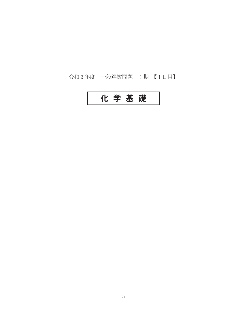## 令和3年度 一般選抜問題 1期【1日目】

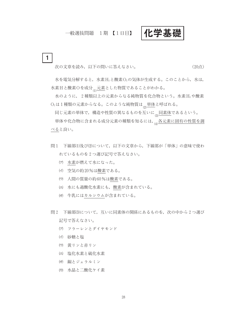## 一般選抜問題 1期 【1日目】

化学基礎

次の文章を読み、以下の問いに答えなさい。

 $\mathbf{1}$ 

(20点)

水を電気分解すると、水素H2と酸素O2の気体が生成する。このことから、水は, 水素Hと酸素Oを成分<sub>(1)</sub>元素とした物質であることがわかる。

水のように, 2種類以上の元素からなる純物質を化合物という。水素H2や酸素 O<sub>2</sub>は1種類の元素からなる。このような純物質は<sub>の</sub>単体と呼ばれる。

同じ元素の単体で、構造や性質の異なるものを互いに<sub>(3)</sub>同素体</u>であるという。

単体や化合物に含まれる成分元素の種類を知るには, 5各元素に固有の性質を調 べると良い。

- 問1 下線部(1)及び(2)について、以下の文章から、下線部が「単体」の意味で使わ れているものを2つ選び記号で答えなさい。
	- (ア) 水素が燃えて水になった。
	- (イ) 空気の約20%は酸素である。
	- (ウ) 人間の質量の約60%は酸素である。
	- (エ) 水にも過酸化水素にも、酸素が含まれている。
	- (オ) 牛乳にはカルシウムが含まれている。
- 問2 下線部(3)について、互いに同素体の関係にあるものを、次の中から2つ選び 記号で答えなさい。
	- (ア) フラーレンとダイヤモンド
	- (イ) 砂糖と塩
	- (ウ) 黄リンと赤リン
	- (エ) 塩化水素と硫化水素
	- (オ) 銅とジェラルミン
	- (カ) 水晶と二酸化ケイ素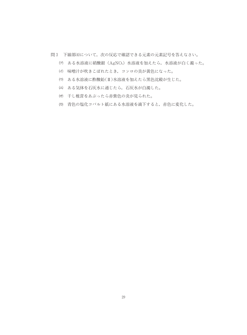- 問3 下線部(4)について、次の反応で確認できる元素の元素記号を答えなさい。
	- (ア) ある水溶液に硝酸銀 (AgNO3) 水溶液を加えたら、水溶液が白く濁った。
	- (イ) 味噌汁が吹きこぼれたとき、コンロの炎が黄色になった。
	- (ウ) ある水溶液に酢酸鉛(II)水溶液を加えたら黒色沈殿が生じた。
	- (エ) ある気体を石灰水に通じたら、石灰水が白濁した。
	- (オ) 干し椎茸をあぶったら赤紫色の炎が見られた。
	- (カ) 青色の塩化コバルト紙にある水溶液を滴下すると、赤色に変化した。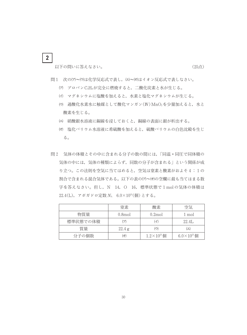以下の問いに答えなさい。

(25点)

- 問1 次の(ア)~(ウ)は化学反応式で表し、(エ)~(オ)はイオン反応式で表しなさい。
	- (ア) プロパンC3H8が完全に燃焼すると、二酸化炭素と水が生じる。
	- (イ) マグネシウムに塩酸を加えると、水素と塩化マグネシウムが生じる。
	- (ウ) 過酸化水素水に触媒として酸化マンガン(IV) MnO2を少量加えると、水と 酸素を生じる。
	- (エ) 硝酸銀水溶液に銅線を浸しておくと、銅線の表面に銀が析出する。
	- (オ) 塩化バリウム水溶液に希硫酸を加えると、硫酸バリウムの白色沈殿を生じ る。
- 問2 気体の体積とその中に含まれる分子の数の間には、「同温·同圧で同体積の 気体の中には、気体の種類によらず、同数の分子が含まれる」という関係が成 り立つ。この法則を空気に当てはめると、空気は窒素と酸素がおよそ4:1の 割合で含まれる混合気体である。以下の表の(ア)~(オ)の空欄に最も当てはまる数 字を答えなさい。但し, N 14, O 16, 標準状態で1molの気体の体積は  $22.4(L)$ , アボガドロ定数  $N_A$  6.0×10<sup>23</sup>(個) とする。

|          | 窒素                 | 酸素                     | 空気                     |
|----------|--------------------|------------------------|------------------------|
| 物質量      | 0.8 <sub>mol</sub> | $0.2$ mol              | 1 mol                  |
| 標準状態での体積 |                    |                        | 22.4L                  |
| 質量       | 22.4 g             | ゖ                      |                        |
| 分子の個数    | 牙)                 | $1.2 \times 10^{23}$ 個 | $6.0 \times 10^{23}$ 個 |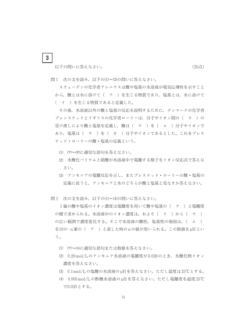(25点)

以下の問いに答えなさい。

 $\mathbf{3}$ 

問1 次の文を読み、以下の(1)~(3)の問いに答えなさい。

スウェーデンの化学者アレニウスは酸や塩基の水溶液が電気伝導性を示すこと から、酸とは水に溶けて(ア)を生じる物質であり、塩基とは、水に溶けて (イ)を生じる物質であると定義した。

その後,水溶液以外の酸と塩基の反応を説明するために,デンマークの化学者 ブレンステッドとイギリスの化学者ローリーは、分子やイオン間の(ウ)の 受け渡しにより酸と塩基を定義し、酸は( ウ )を( エ )分子やイオンで あり、塩基は( ウ )を( オ )分子やイオンであるとした。これをブレス テッド・ローリーの酸・塩基の定義という。

- (1) (ア)~(オ)に適切な語句を答えなさい。
- (2) 水酸化バリウムと硝酸が水溶液中で電離する様子をイオン反応式で答えな さい。
- (3) アンモニアの電離反応を示し、またブレステッド・ローリーの酸・塩基の 定義に従うと、アンモニアと水のどちらが酸と塩基と見なすか答えなさい。

問2 次の文を読み、以下の(1)~(4)の問いに答えなさい。

1価の酸や塩基のイオン濃度は電離度を用いて酸や塩基の( ア )と電離度 の積で求められる。水溶液中のイオン濃度は、およそ(イ)から(ウ) の広い範囲で濃度変化する。そこで水溶液の酸性,塩基性の強弱は、(エ) を10の-n乗の(ア)と表した時のnの値が用いられる。この数値をpHとい う。

- (1) (ア)~(エ)に適切な語句または数値を答えなさい。
- (2) 0.20mol/Lのアンモニア水溶液の電離度が0.028のとき、水酸化物イオン 濃度を答えなさい。
- (3) 0.1 mol/Lの塩酸の水溶液のpHを答えなさい。ただし温度は25℃とする。
- (4) 0.005 mol/Lの酢酸水溶液の pH を答えなさい。ただし電離度を温度25℃ で0.020とする。